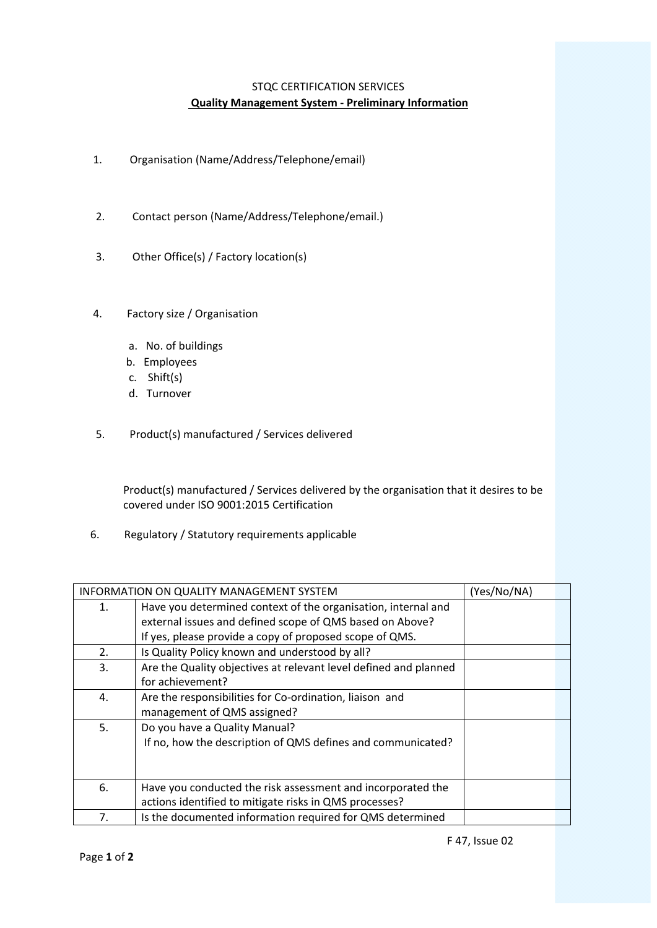## STQC CERTIFICATION SERVICES **Quality Management System ‐ Preliminary Information**

- 1. Organisation (Name/Address/Telephone/email)
- 2. Contact person (Name/Address/Telephone/email.)
- 3. Other Office(s) / Factory location(s)
- 4. Factory size / Organisation
	- a. No. of buildings
	- b. Employees
	- c. Shift(s)
	- d. Turnover
- 5. Product(s) manufactured / Services delivered

 Product(s) manufactured / Services delivered by the organisation that it desires to be covered under ISO 9001:2015 Certification

6. Regulatory / Statutory requirements applicable

|    | <b>INFORMATION ON QUALITY MANAGEMENT SYSTEM</b>                  | (Yes/No/NA) |
|----|------------------------------------------------------------------|-------------|
| 1. | Have you determined context of the organisation, internal and    |             |
|    | external issues and defined scope of QMS based on Above?         |             |
|    | If yes, please provide a copy of proposed scope of QMS.          |             |
| 2. | Is Quality Policy known and understood by all?                   |             |
| 3. | Are the Quality objectives at relevant level defined and planned |             |
|    | for achievement?                                                 |             |
| 4. | Are the responsibilities for Co-ordination, liaison and          |             |
|    | management of QMS assigned?                                      |             |
| 5. | Do you have a Quality Manual?                                    |             |
|    | If no, how the description of QMS defines and communicated?      |             |
|    |                                                                  |             |
|    |                                                                  |             |
| 6. | Have you conducted the risk assessment and incorporated the      |             |
|    | actions identified to mitigate risks in QMS processes?           |             |
| 7. | Is the documented information required for QMS determined        |             |